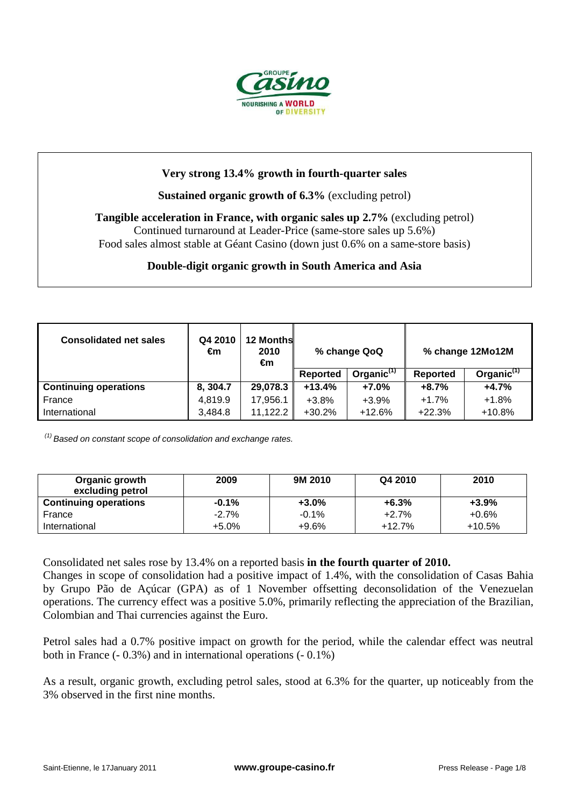

# **Very strong 13.4% growth in fourth-quarter sales**

### **Sustained organic growth of 6.3%** (excluding petrol)

**Tangible acceleration in France, with organic sales up 2.7%** (excluding petrol) Continued turnaround at Leader-Price (same-store sales up 5.6%) Food sales almost stable at Géant Casino (down just 0.6% on a same-store basis)

#### **Double-digit organic growth in South America and Asia**

| <b>Consolidated net sales</b> | Q4 2010<br>€m | <b>12 Months</b><br>2010<br>€m | % change QoQ    |                        |          | % change 12Mo12M       |
|-------------------------------|---------------|--------------------------------|-----------------|------------------------|----------|------------------------|
|                               |               |                                | <b>Reported</b> | Organic <sup>(1)</sup> | Reported | Organic <sup>(1)</sup> |
| <b>Continuing operations</b>  | 8, 304.7      | 29,078.3                       | $+13.4%$        | $+7.0%$                | $+8.7%$  | $+4.7%$                |
| France                        | 4,819.9       | 17,956.1                       | $+3.8%$         | $+3.9%$                | $+1.7%$  | $+1.8%$                |
| International                 | 3.484.8       | 11,122.2                       | $+30.2%$        | $+12.6%$               | $+22.3%$ | $+10.8%$               |

 $(1)$  Based on constant scope of consolidation and exchange rates.

| Organic growth<br>excluding petrol | 2009     | 9M 2010 | Q4 2010  | 2010     |
|------------------------------------|----------|---------|----------|----------|
| <b>Continuing operations</b>       | $-0.1\%$ | $+3.0%$ | $+6.3%$  | $+3.9%$  |
| France                             | $-2.7%$  | $-0.1%$ | $+2.7%$  | $+0.6%$  |
| International                      | $+5.0\%$ | $+9.6%$ | $+12.7%$ | $+10.5%$ |

Consolidated net sales rose by 13.4% on a reported basis **in the fourth quarter of 2010.** Changes in scope of consolidation had a positive impact of 1.4%, with the consolidation of Casas Bahia by Grupo Pão de Açúcar (GPA) as of 1 November offsetting deconsolidation of the Venezuelan operations. The currency effect was a positive 5.0%, primarily reflecting the appreciation of the Brazilian, Colombian and Thai currencies against the Euro.

Petrol sales had a 0.7% positive impact on growth for the period, while the calendar effect was neutral both in France (- 0.3%) and in international operations (- 0.1%)

As a result, organic growth, excluding petrol sales, stood at 6.3% for the quarter, up noticeably from the 3% observed in the first nine months.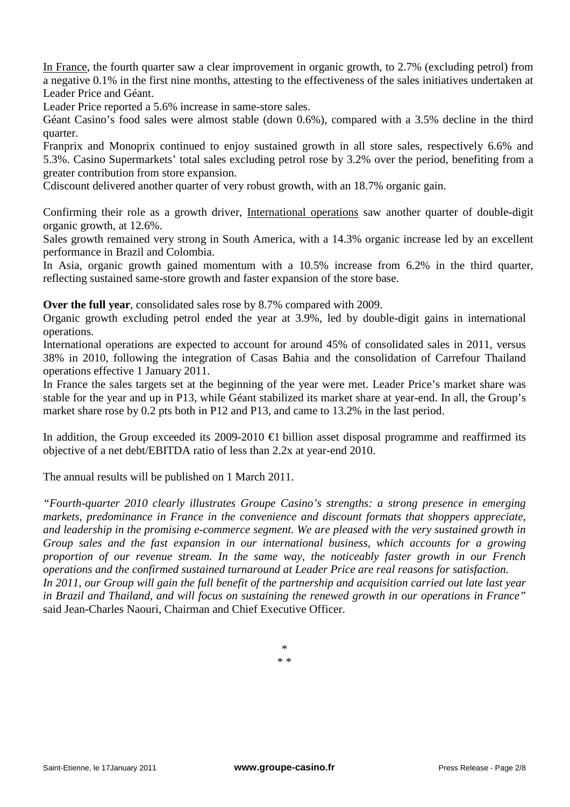In France, the fourth quarter saw a clear improvement in organic growth, to 2.7% (excluding petrol) from a negative 0.1% in the first nine months, attesting to the effectiveness of the sales initiatives undertaken at Leader Price and Géant.

Leader Price reported a 5.6% increase in same-store sales.

Géant Casino's food sales were almost stable (down 0.6%), compared with a 3.5% decline in the third quarter.

Franprix and Monoprix continued to enjoy sustained growth in all store sales, respectively 6.6% and 5.3%. Casino Supermarkets' total sales excluding petrol rose by 3.2% over the period, benefiting from a greater contribution from store expansion.

Cdiscount delivered another quarter of very robust growth, with an 18.7% organic gain.

Confirming their role as a growth driver, International operations saw another quarter of double-digit organic growth, at 12.6%.

Sales growth remained very strong in South America, with a 14.3% organic increase led by an excellent performance in Brazil and Colombia.

In Asia, organic growth gained momentum with a 10.5% increase from 6.2% in the third quarter, reflecting sustained same-store growth and faster expansion of the store base.

**Over the full year**, consolidated sales rose by 8.7% compared with 2009.

Organic growth excluding petrol ended the year at 3.9%, led by double-digit gains in international operations.

International operations are expected to account for around 45% of consolidated sales in 2011, versus 38% in 2010, following the integration of Casas Bahia and the consolidation of Carrefour Thailand operations effective 1 January 2011.

In France the sales targets set at the beginning of the year were met. Leader Price's market share was stable for the year and up in P13, while Géant stabilized its market share at year-end. In all, the Group's market share rose by 0.2 pts both in P12 and P13, and came to 13.2% in the last period.

In addition, the Group exceeded its 2009-2010  $\epsilon$ 1 billion asset disposal programme and reaffirmed its objective of a net debt/EBITDA ratio of less than 2.2x at year-end 2010.

The annual results will be published on 1 March 2011.

*"Fourth-quarter 2010 clearly illustrates Groupe Casino's strengths: a strong presence in emerging markets, predominance in France in the convenience and discount formats that shoppers appreciate, and leadership in the promising e-commerce segment. We are pleased with the very sustained growth in Group sales and the fast expansion in our international business, which accounts for a growing proportion of our revenue stream. In the same way, the noticeably faster growth in our French operations and the confirmed sustained turnaround at Leader Price are real reasons for satisfaction. In 2011, our Group will gain the full benefit of the partnership and acquisition carried out late last year in Brazil and Thailand, and will focus on sustaining the renewed growth in our operations in France"*  said Jean-Charles Naouri, Chairman and Chief Executive Officer.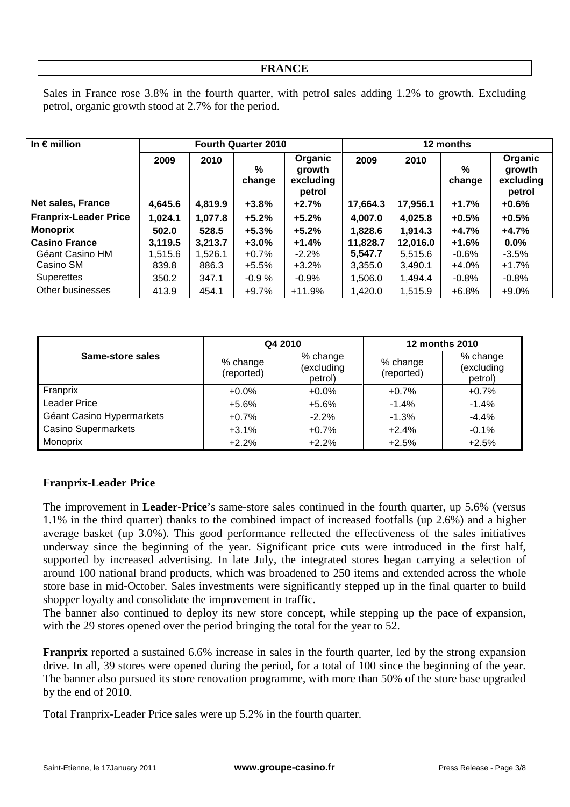#### **FRANCE**

Sales in France rose 3.8% in the fourth quarter, with petrol sales adding 1.2% to growth. Excluding petrol, organic growth stood at 2.7% for the period.

| In $\epsilon$ million        |         | <b>Fourth Quarter 2010</b> |             |                                          | 12 months |          |             |                                          |
|------------------------------|---------|----------------------------|-------------|------------------------------------------|-----------|----------|-------------|------------------------------------------|
|                              | 2009    | 2010                       | %<br>change | Organic<br>growth<br>excluding<br>petrol | 2009      | 2010     | %<br>change | Organic<br>growth<br>excluding<br>petrol |
| Net sales, France            | 4,645.6 | 4,819.9                    | $+3.8%$     | $+2.7%$                                  | 17,664.3  | 17,956.1 | $+1.7%$     | $+0.6%$                                  |
| <b>Franprix-Leader Price</b> | 1,024.1 | 1,077.8                    | $+5.2%$     | $+5.2%$                                  | 4,007.0   | 4,025.8  | $+0.5%$     | $+0.5%$                                  |
| <b>Monoprix</b>              | 502.0   | 528.5                      | $+5.3%$     | $+5.2%$                                  | 1,828.6   | 1,914.3  | $+4.7%$     | $+4.7%$                                  |
| <b>Casino France</b>         | 3,119.5 | 3,213.7                    | $+3.0\%$    | $+1.4%$                                  | 11,828.7  | 12,016.0 | $+1.6%$     | 0.0%                                     |
| Géant Casino HM              | 1,515.6 | 1,526.1                    | $+0.7%$     | $-2.2%$                                  | 5,547.7   | 5,515.6  | $-0.6%$     | $-3.5%$                                  |
| Casino SM                    | 839.8   | 886.3                      | $+5.5%$     | $+3.2%$                                  | 3,355.0   | 3,490.1  | $+4.0%$     | $+1.7%$                                  |
| <b>Superettes</b>            | 350.2   | 347.1                      | $-0.9%$     | $-0.9%$                                  | 1,506.0   | 1,494.4  | $-0.8\%$    | $-0.8%$                                  |
| Other businesses             | 413.9   | 454.1                      | $+9.7%$     | $+11.9%$                                 | 1,420.0   | 1,515.9  | $+6.8%$     | $+9.0%$                                  |

|                            | Q4 2010                |                                   | <b>12 months 2010</b>  |                                   |  |
|----------------------------|------------------------|-----------------------------------|------------------------|-----------------------------------|--|
| Same-store sales           | % change<br>(reported) | % change<br>(excluding<br>petrol) | % change<br>(reported) | % change<br>(excluding<br>petrol) |  |
| Franprix                   | $+0.0\%$               | $+0.0%$                           | $+0.7%$                | $+0.7%$                           |  |
| <b>Leader Price</b>        | $+5.6\%$               | $+5.6%$                           | $-1.4%$                | $-1.4%$                           |  |
| Géant Casino Hypermarkets  | $+0.7%$                | $-2.2\%$                          | $-1.3%$                | $-4.4%$                           |  |
| <b>Casino Supermarkets</b> | $+3.1%$                | $+0.7%$                           | $+2.4%$                | $-0.1%$                           |  |
| Monoprix                   | $+2.2%$                | $+2.2%$                           | $+2.5%$                | $+2.5%$                           |  |

## **Franprix-Leader Price**

The improvement in **Leader-Price**'s same-store sales continued in the fourth quarter, up 5.6% (versus 1.1% in the third quarter) thanks to the combined impact of increased footfalls (up 2.6%) and a higher average basket (up 3.0%). This good performance reflected the effectiveness of the sales initiatives underway since the beginning of the year. Significant price cuts were introduced in the first half, supported by increased advertising. In late July, the integrated stores began carrying a selection of around 100 national brand products, which was broadened to 250 items and extended across the whole store base in mid-October. Sales investments were significantly stepped up in the final quarter to build shopper loyalty and consolidate the improvement in traffic.

The banner also continued to deploy its new store concept, while stepping up the pace of expansion, with the 29 stores opened over the period bringing the total for the year to 52.

**Franprix** reported a sustained 6.6% increase in sales in the fourth quarter, led by the strong expansion drive. In all, 39 stores were opened during the period, for a total of 100 since the beginning of the year. The banner also pursued its store renovation programme, with more than 50% of the store base upgraded by the end of 2010.

Total Franprix-Leader Price sales were up 5.2% in the fourth quarter.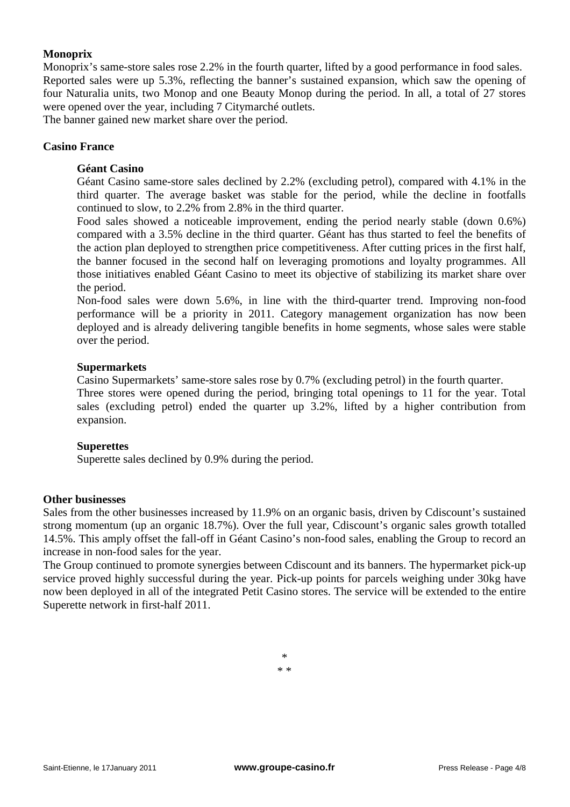## **Monoprix**

Monoprix's same-store sales rose 2.2% in the fourth quarter, lifted by a good performance in food sales. Reported sales were up 5.3%, reflecting the banner's sustained expansion, which saw the opening of four Naturalia units, two Monop and one Beauty Monop during the period. In all, a total of 27 stores were opened over the year, including 7 Citymarché outlets.

The banner gained new market share over the period.

#### **Casino France**

#### **Géant Casino**

Géant Casino same-store sales declined by 2.2% (excluding petrol), compared with 4.1% in the third quarter. The average basket was stable for the period, while the decline in footfalls continued to slow, to 2.2% from 2.8% in the third quarter.

Food sales showed a noticeable improvement, ending the period nearly stable (down 0.6%) compared with a 3.5% decline in the third quarter. Géant has thus started to feel the benefits of the action plan deployed to strengthen price competitiveness. After cutting prices in the first half, the banner focused in the second half on leveraging promotions and loyalty programmes. All those initiatives enabled Géant Casino to meet its objective of stabilizing its market share over the period.

Non-food sales were down 5.6%, in line with the third-quarter trend. Improving non-food performance will be a priority in 2011. Category management organization has now been deployed and is already delivering tangible benefits in home segments, whose sales were stable over the period.

#### **Supermarkets**

Casino Supermarkets' same-store sales rose by 0.7% (excluding petrol) in the fourth quarter.

Three stores were opened during the period, bringing total openings to 11 for the year. Total sales (excluding petrol) ended the quarter up 3.2%, lifted by a higher contribution from expansion.

#### **Superettes**

Superette sales declined by 0.9% during the period.

#### **Other businesses**

Sales from the other businesses increased by 11.9% on an organic basis, driven by Cdiscount's sustained strong momentum (up an organic 18.7%). Over the full year, Cdiscount's organic sales growth totalled 14.5%. This amply offset the fall-off in Géant Casino's non-food sales, enabling the Group to record an increase in non-food sales for the year.

The Group continued to promote synergies between Cdiscount and its banners. The hypermarket pick-up service proved highly successful during the year. Pick-up points for parcels weighing under 30kg have now been deployed in all of the integrated Petit Casino stores. The service will be extended to the entire Superette network in first-half 2011.

> \* \* \*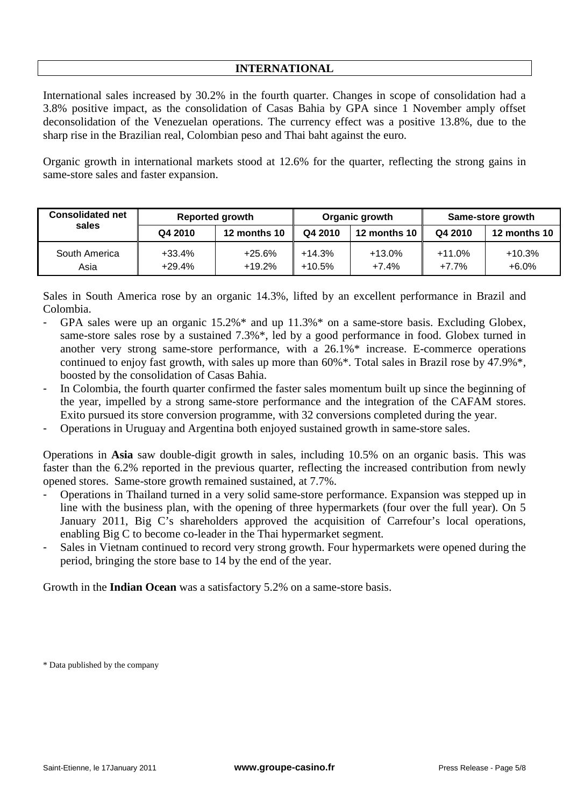## **INTERNATIONAL**

International sales increased by 30.2% in the fourth quarter. Changes in scope of consolidation had a 3.8% positive impact, as the consolidation of Casas Bahia by GPA since 1 November amply offset deconsolidation of the Venezuelan operations. The currency effect was a positive 13.8%, due to the sharp rise in the Brazilian real, Colombian peso and Thai baht against the euro.

Organic growth in international markets stood at 12.6% for the quarter, reflecting the strong gains in same-store sales and faster expansion.

| <b>Consolidated net</b> |                      | <b>Reported growth</b> |                      | Organic growth      | Same-store growth   |                     |
|-------------------------|----------------------|------------------------|----------------------|---------------------|---------------------|---------------------|
| sales                   | Q4 2010              | 12 months 10           | Q4 2010              | 12 months 10        | Q4 2010             | 12 months 10        |
| South America<br>Asia   | $+33.4%$<br>$+29.4%$ | $+25.6%$<br>$+19.2%$   | $+14.3%$<br>$+10.5%$ | $+13.0%$<br>$+7.4%$ | $+11.0%$<br>$+7.7%$ | $+10.3%$<br>$+6.0%$ |

Sales in South America rose by an organic 14.3%, lifted by an excellent performance in Brazil and Colombia.

- GPA sales were up an organic  $15.2\%$  and up  $11.3\%$  on a same-store basis. Excluding Globex, same-store sales rose by a sustained 7.3%\*, led by a good performance in food. Globex turned in another very strong same-store performance, with a 26.1%\* increase. E-commerce operations continued to enjoy fast growth, with sales up more than 60%\*. Total sales in Brazil rose by 47.9%\*, boosted by the consolidation of Casas Bahia.
- In Colombia, the fourth quarter confirmed the faster sales momentum built up since the beginning of the year, impelled by a strong same-store performance and the integration of the CAFAM stores. Exito pursued its store conversion programme, with 32 conversions completed during the year.
- Operations in Uruguay and Argentina both enjoyed sustained growth in same-store sales.

Operations in **Asia** saw double-digit growth in sales, including 10.5% on an organic basis. This was faster than the 6.2% reported in the previous quarter, reflecting the increased contribution from newly opened stores. Same-store growth remained sustained, at 7.7%.

- Operations in Thailand turned in a very solid same-store performance. Expansion was stepped up in line with the business plan, with the opening of three hypermarkets (four over the full year). On 5 January 2011, Big C's shareholders approved the acquisition of Carrefour's local operations, enabling Big C to become co-leader in the Thai hypermarket segment.
- Sales in Vietnam continued to record very strong growth. Four hypermarkets were opened during the period, bringing the store base to 14 by the end of the year.

Growth in the **Indian Ocean** was a satisfactory 5.2% on a same-store basis.

\* Data published by the company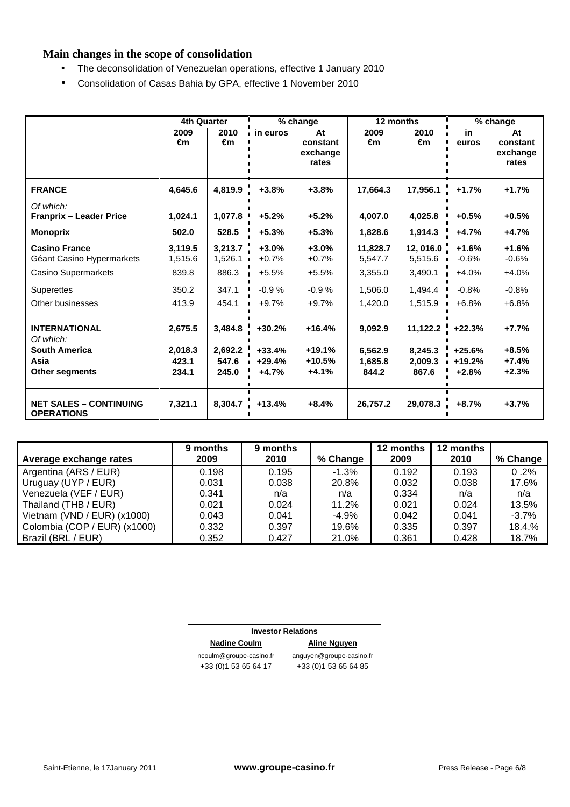# **Main changes in the scope of consolidation**

- The deconsolidation of Venezuelan operations, effective 1 January 2010
- Consolidation of Casas Bahia by GPA, effective 1 November 2010

|                                                                                            | <b>4th Quarter</b>                   |                                      |                                             | % change                                | 12 months                              |                                         | % change                                    |                                          |
|--------------------------------------------------------------------------------------------|--------------------------------------|--------------------------------------|---------------------------------------------|-----------------------------------------|----------------------------------------|-----------------------------------------|---------------------------------------------|------------------------------------------|
|                                                                                            | 2009<br>€m                           | 2010<br>€m                           | <b>in euros</b>                             | At<br>constant<br>exchange<br>rates     | 2009<br>€m                             | 2010<br>€m                              | in<br>euros                                 | At<br>constant<br>exchange<br>rates      |
| <b>FRANCE</b>                                                                              | 4,645.6                              | 4,819.9                              | $+3.8%$                                     | $+3.8%$                                 | 17,664.3                               | 17,956.1                                | $+1.7%$                                     | $+1.7%$                                  |
| Of which:<br><b>Franprix - Leader Price</b>                                                | 1,024.1                              | 1,077.8                              | $+5.2%$                                     | $+5.2%$                                 | 4.007.0                                | 4,025.8                                 | $+0.5%$                                     | $+0.5%$                                  |
| <b>Monoprix</b>                                                                            | 502.0                                | 528.5                                | $+5.3%$                                     | $+5.3%$                                 | 1.828.6                                | 1,914.3                                 | $+4.7%$                                     | $+4.7%$                                  |
| <b>Casino France</b><br>Géant Casino Hypermarkets                                          | 3,119.5<br>1,515.6                   | 3,213.7<br>1,526.1                   | $+3.0%$<br>$+0.7%$                          | $+3.0%$<br>$+0.7%$                      | 11.828.7<br>5,547.7                    | 12,016.0<br>5,515.6                     | $+1.6%$<br>$-0.6%$                          | $+1.6%$<br>$-0.6%$                       |
| Casino Supermarkets                                                                        | 839.8                                | 886.3                                | $+5.5%$                                     | $+5.5%$                                 | 3,355.0                                | 3,490.1                                 | $+4.0%$                                     | $+4.0%$                                  |
| <b>Superettes</b>                                                                          | 350.2                                | 347.1                                | $-0.9%$                                     | $-0.9%$                                 | 1,506.0                                | 1,494.4                                 | $-0.8%$                                     | $-0.8%$                                  |
| Other businesses                                                                           | 413.9                                | 454.1                                | $+9.7%$                                     | $+9.7%$                                 | 1.420.0                                | 1,515.9                                 | $+6.8%$                                     | $+6.8%$                                  |
| <b>INTERNATIONAL</b><br>Of which:<br><b>South America</b><br>Asia<br><b>Other segments</b> | 2,675.5<br>2,018.3<br>423.1<br>234.1 | 3,484.8<br>2,692.2<br>547.6<br>245.0 | $+30.2%$<br>$+33.4%$<br>$+29.4%$<br>$+4.7%$ | $+16.4%$<br>+19.1%<br>+10.5%<br>$+4.1%$ | 9,092.9<br>6,562.9<br>1.685.8<br>844.2 | 11,122.2<br>8,245.3<br>2.009.3<br>867.6 | $+22.3%$<br>$+25.6%$<br>$+19.2%$<br>$+2.8%$ | $+7.7%$<br>$+8.5%$<br>$+7.4%$<br>$+2.3%$ |
| <b>NET SALES - CONTINUING</b><br><b>OPERATIONS</b>                                         | 7,321.1                              | 8,304.7                              | $+13.4%$                                    | $+8.4%$                                 | 26,757.2                               | 29,078.3                                | $+8.7%$                                     | $+3.7%$                                  |

| Average exchange rates        | 9 months<br>2009 | 9 months<br>2010 | % Change | 12 months<br>2009 | 12 months<br>2010 | % Change |
|-------------------------------|------------------|------------------|----------|-------------------|-------------------|----------|
| Argentina (ARS / EUR)         | 0.198            | 0.195            | $-1.3%$  | 0.192             | 0.193             | 0.2%     |
| Uruguay (UYP / EUR)           | 0.031            | 0.038            | 20.8%    | 0.032             | 0.038             | 17.6%    |
| Venezuela (VEF / EUR)         | 0.341            | n/a              | n/a      | 0.334             | n/a               | n/a      |
| Thailand (THB / EUR)          | 0.021            | 0.024            | 11.2%    | 0.021             | 0.024             | 13.5%    |
| Vietnam (VND / EUR) $(x1000)$ | 0.043            | 0.041            | $-4.9%$  | 0.042             | 0.041             | $-3.7%$  |
| Colombia (COP / EUR) (x1000)  | 0.332            | 0.397            | 19.6%    | 0.335             | 0.397             | 18.4.%   |
| Brazil (BRL / EUR)            | 0.352            | 0.427            | 21.0%    | 0.361             | 0.428             | 18.7%    |

| <b>Investor Relations</b>           |                          |  |  |  |  |
|-------------------------------------|--------------------------|--|--|--|--|
| <b>Nadine Coulm</b><br>Aline Nguyen |                          |  |  |  |  |
| ncoulm@groupe-casino.fr             | anguyen@groupe-casino.fr |  |  |  |  |
| +33 (0) 1 53 65 64 17               | +33 (0) 1 53 65 64 85    |  |  |  |  |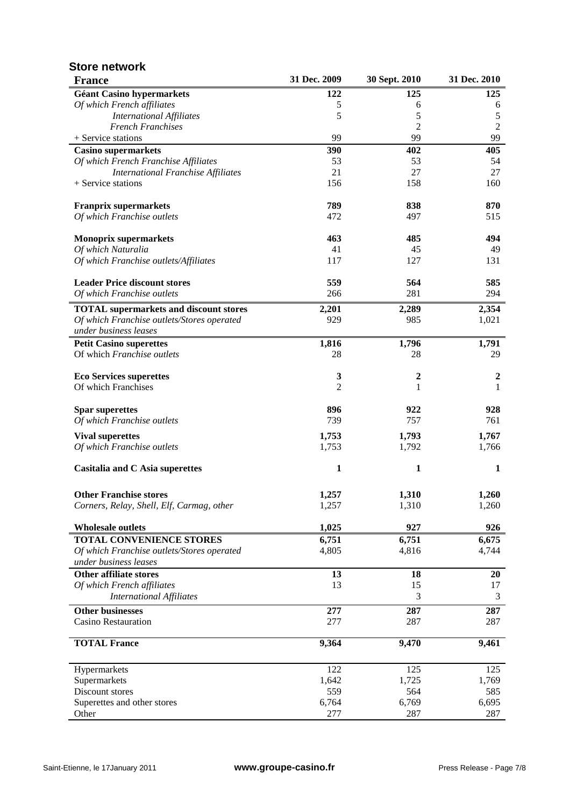| <b>France</b>                                 | 31 Dec. 2009   | 30 Sept. 2010  | 31 Dec. 2010     |
|-----------------------------------------------|----------------|----------------|------------------|
| <b>Géant Casino hypermarkets</b>              | 122            | 125            | 125              |
| Of which French affiliates                    | 5              | 6              | 6                |
| <b>International Affiliates</b>               | 5              | 5              | 5                |
| <b>French Franchises</b>                      |                | $\overline{2}$ | $\overline{c}$   |
| + Service stations                            | 99             | 99             | 99               |
| <b>Casino supermarkets</b>                    | 390            | 402            | 405              |
| Of which French Franchise Affiliates          | 53             | 53             | 54               |
| <b>International Franchise Affiliates</b>     | 21             | 27             | 27               |
| + Service stations                            | 156            | 158            | 160              |
| <b>Franprix supermarkets</b>                  | 789            | 838            | 870              |
| Of which Franchise outlets                    | 472            | 497            | 515              |
| <b>Monoprix supermarkets</b>                  | 463            | 485            | 494              |
| Of which Naturalia                            | 41             | 45             | 49               |
| Of which Franchise outlets/Affiliates         | 117            | 127            | 131              |
| <b>Leader Price discount stores</b>           | 559            | 564            | 585              |
| Of which Franchise outlets                    | 266            | 281            | 294              |
| <b>TOTAL</b> supermarkets and discount stores | 2,201          | 2,289          | 2,354            |
| Of which Franchise outlets/Stores operated    | 929            | 985            | 1,021            |
| under business leases                         |                |                |                  |
| <b>Petit Casino superettes</b>                | 1,816          | 1,796          | 1,791            |
| Of which Franchise outlets                    | 28             | 28             | 29               |
| <b>Eco Services superettes</b>                | 3              | 2              | $\boldsymbol{2}$ |
| Of which Franchises                           | $\overline{2}$ | 1              | 1                |
| <b>Spar superettes</b>                        | 896            | 922            | 928              |
| Of which Franchise outlets                    | 739            | 757            | 761              |
| <b>Vival superettes</b>                       | 1,753          | 1,793          | 1,767            |
| Of which Franchise outlets                    | 1,753          | 1,792          | 1,766            |
| Casitalia and C Asia superettes               | 1              | 1              | 1                |
|                                               |                |                |                  |
| <b>Other Franchise stores</b>                 | 1,257          | 1,310          | 1,260            |
| Corners, Relay, Shell, Elf, Carmag, other     | 1,257          | 1,310          | 1,260            |
| <b>Wholesale outlets</b>                      | 1,025          | 927            | 926              |
| <b>TOTAL CONVENIENCE STORES</b>               | 6,751          | 6,751          | 6,675            |
| Of which Franchise outlets/Stores operated    | 4,805          | 4,816          | 4,744            |
| under business leases                         |                |                |                  |
| <b>Other affiliate stores</b>                 | 13             | 18             | 20               |
| Of which French affiliates                    | 13             | 15             | 17               |
| <b>International Affiliates</b>               |                | 3              | 3                |
| <b>Other businesses</b>                       | 277            | 287            | 287              |
| <b>Casino Restauration</b>                    | 277            | 287            | 287              |
| <b>TOTAL France</b>                           | 9,364          | 9,470          | 9,461            |
| Hypermarkets                                  | 122            | 125            | 125              |
| Supermarkets                                  | 1,642          | 1,725          | 1,769            |
| Discount stores                               | 559            | 564            | 585              |
| Superettes and other stores                   | 6,764          | 6,769          | 6,695            |
| Other                                         | 277            | 287            | 287              |